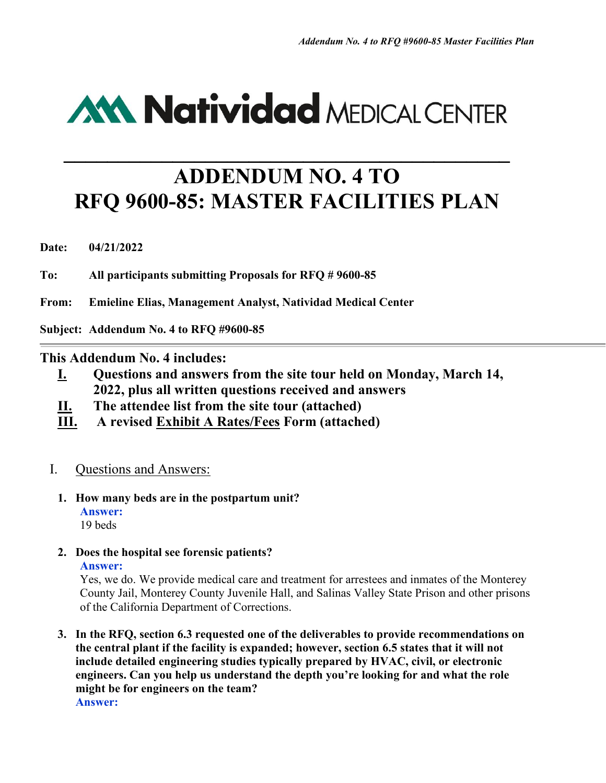# **AM Natividad MEDICAL CENTER**

# **ADDENDUM NO. 4 TO RFQ 9600-85: MASTER FACILITIES PLAN**

**\_\_\_\_\_\_\_\_\_\_\_\_\_\_\_\_\_\_\_\_\_\_\_\_\_\_\_\_\_\_\_\_\_\_\_\_\_\_\_\_\_**

**Date: 04/21/2022** 

**To: All participants submitting Proposals for RFQ # 9600-85** 

**From: Emieline Elias, Management Analyst, Natividad Medical Center**

**Subject: Addendum No. 4 to RFQ #9600-85** 

# **This Addendum No. 4 includes:**

- **I. Questions and answers from the site tour held on Monday, March 14, 2022, plus all written questions received and answers**
- **II. The attendee list from the site tour (attached)**
- **III. A revised Exhibit A Rates/Fees Form (attached)**

# I. Questions and Answers:

- **1. How many beds are in the postpartum unit? Answer:** 19 beds
- **2. Does the hospital see forensic patients? Answer:**

Yes, we do. We provide medical care and treatment for arrestees and inmates of the Monterey County Jail, Monterey County Juvenile Hall, and Salinas Valley State Prison and other prisons of the California Department of Corrections.

**3. In the RFQ, section 6.3 requested one of the deliverables to provide recommendations on the central plant if the facility is expanded; however, section 6.5 states that it will not include detailed engineering studies typically prepared by HVAC, civil, or electronic engineers. Can you help us understand the depth you're looking for and what the role might be for engineers on the team? Answer:**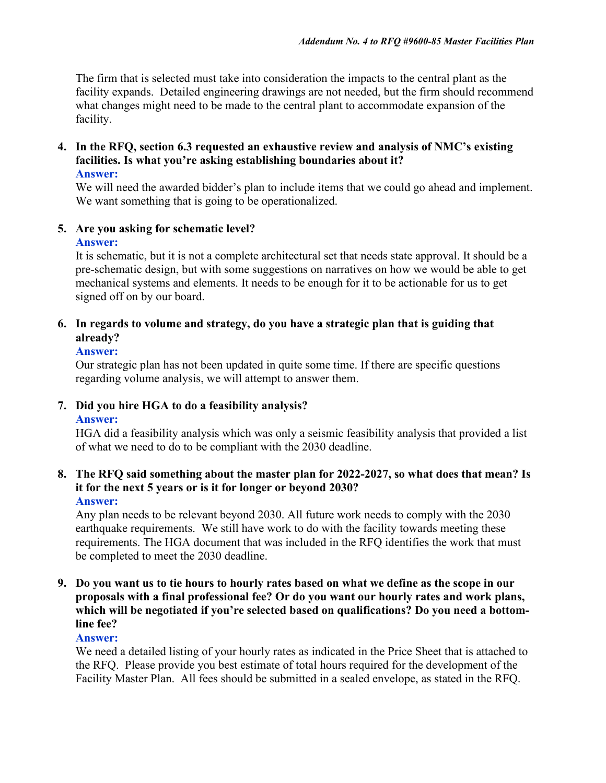The firm that is selected must take into consideration the impacts to the central plant as the facility expands. Detailed engineering drawings are not needed, but the firm should recommend what changes might need to be made to the central plant to accommodate expansion of the facility.

# **4. In the RFQ, section 6.3 requested an exhaustive review and analysis of NMC's existing facilities. Is what you're asking establishing boundaries about it?**

#### **Answer:**

We will need the awarded bidder's plan to include items that we could go ahead and implement. We want something that is going to be operationalized.

# **5. Are you asking for schematic level?**

# **Answer:**

It is schematic, but it is not a complete architectural set that needs state approval. It should be a pre-schematic design, but with some suggestions on narratives on how we would be able to get mechanical systems and elements. It needs to be enough for it to be actionable for us to get signed off on by our board.

# **6. In regards to volume and strategy, do you have a strategic plan that is guiding that already?**

# **Answer:**

Our strategic plan has not been updated in quite some time. If there are specific questions regarding volume analysis, we will attempt to answer them.

#### **7. Did you hire HGA to do a feasibility analysis? Answer:**

HGA did a feasibility analysis which was only a seismic feasibility analysis that provided a list of what we need to do to be compliant with the 2030 deadline.

#### **8. The RFQ said something about the master plan for 2022-2027, so what does that mean? Is it for the next 5 years or is it for longer or beyond 2030? Answer:**

Any plan needs to be relevant beyond 2030. All future work needs to comply with the 2030 earthquake requirements. We still have work to do with the facility towards meeting these requirements. The HGA document that was included in the RFQ identifies the work that must be completed to meet the 2030 deadline.

# **9. Do you want us to tie hours to hourly rates based on what we define as the scope in our proposals with a final professional fee? Or do you want our hourly rates and work plans, which will be negotiated if you're selected based on qualifications? Do you need a bottomline fee?**

# **Answer:**

We need a detailed listing of your hourly rates as indicated in the Price Sheet that is attached to the RFQ. Please provide you best estimate of total hours required for the development of the Facility Master Plan. All fees should be submitted in a sealed envelope, as stated in the RFQ.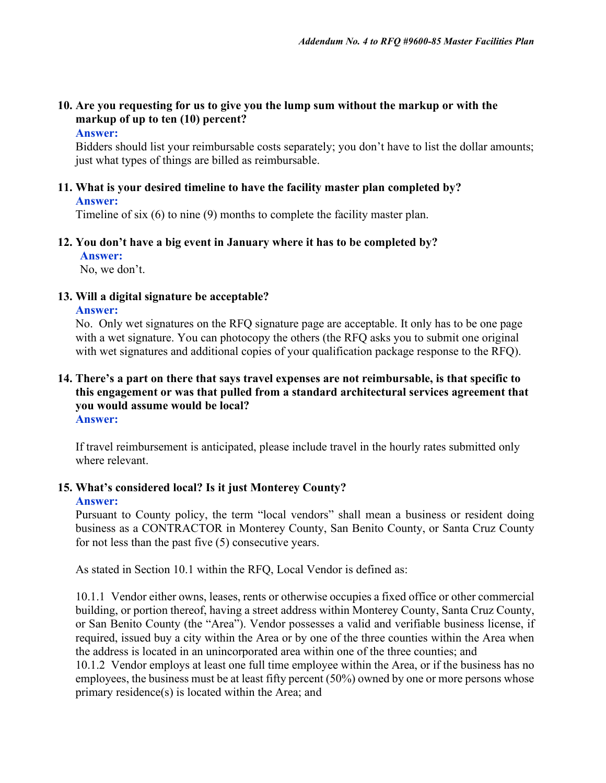# **10. Are you requesting for us to give you the lump sum without the markup or with the markup of up to ten (10) percent?**

#### **Answer:**

Bidders should list your reimbursable costs separately; you don't have to list the dollar amounts; just what types of things are billed as reimbursable.

#### **11. What is your desired timeline to have the facility master plan completed by? Answer:**

Timeline of six (6) to nine (9) months to complete the facility master plan.

# **12. You don't have a big event in January where it has to be completed by?**

**Answer:**

No, we don't.

#### **13. Will a digital signature be acceptable?**

#### **Answer:**

No. Only wet signatures on the RFQ signature page are acceptable. It only has to be one page with a wet signature. You can photocopy the others (the RFQ asks you to submit one original with wet signatures and additional copies of your qualification package response to the RFQ).

#### **14. There's a part on there that says travel expenses are not reimbursable, is that specific to this engagement or was that pulled from a standard architectural services agreement that you would assume would be local? Answer:**

If travel reimbursement is anticipated, please include travel in the hourly rates submitted only where relevant.

# **15. What's considered local? Is it just Monterey County?**

#### **Answer:**

Pursuant to County policy, the term "local vendors" shall mean a business or resident doing business as a CONTRACTOR in Monterey County, San Benito County, or Santa Cruz County for not less than the past five (5) consecutive years.

As stated in Section 10.1 within the RFQ, Local Vendor is defined as:

10.1.1 Vendor either owns, leases, rents or otherwise occupies a fixed office or other commercial building, or portion thereof, having a street address within Monterey County, Santa Cruz County, or San Benito County (the "Area"). Vendor possesses a valid and verifiable business license, if required, issued buy a city within the Area or by one of the three counties within the Area when the address is located in an unincorporated area within one of the three counties; and 10.1.2 Vendor employs at least one full time employee within the Area, or if the business has no

employees, the business must be at least fifty percent (50%) owned by one or more persons whose primary residence(s) is located within the Area; and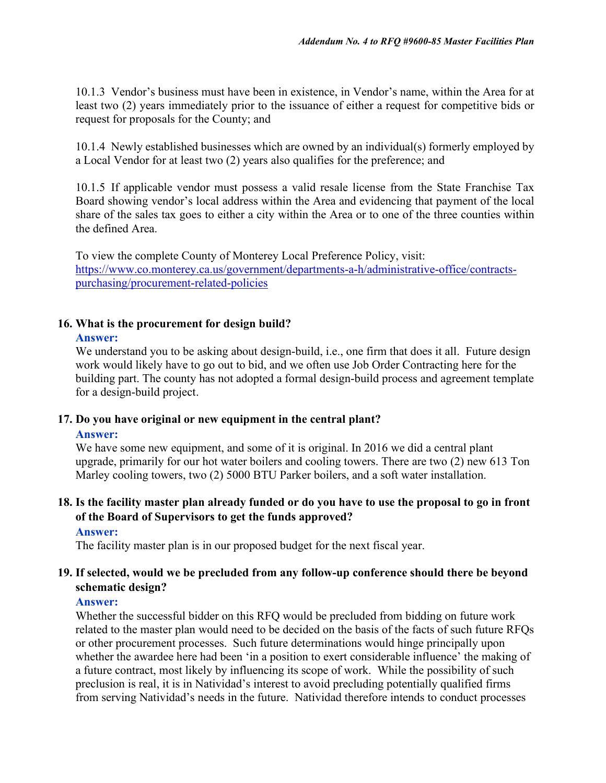10.1.3 Vendor's business must have been in existence, in Vendor's name, within the Area for at least two (2) years immediately prior to the issuance of either a request for competitive bids or request for proposals for the County; and

10.1.4 Newly established businesses which are owned by an individual(s) formerly employed by a Local Vendor for at least two (2) years also qualifies for the preference; and

10.1.5 If applicable vendor must possess a valid resale license from the State Franchise Tax Board showing vendor's local address within the Area and evidencing that payment of the local share of the sales tax goes to either a city within the Area or to one of the three counties within the defined Area.

To view the complete County of Monterey Local Preference Policy, visit: [https://www.co.monterey.ca.us/government/departments-a-h/administrative-office/contracts](https://www.co.monterey.ca.us/government/departments-a-h/administrative-office/contracts-purchasing/procurement-related-policies)[purchasing/procurement-related-policies](https://www.co.monterey.ca.us/government/departments-a-h/administrative-office/contracts-purchasing/procurement-related-policies)

# **16. What is the procurement for design build?**

#### **Answer:**

We understand you to be asking about design-build, i.e., one firm that does it all. Future design work would likely have to go out to bid, and we often use Job Order Contracting here for the building part. The county has not adopted a formal design-build process and agreement template for a design-build project.

# **17. Do you have original or new equipment in the central plant?**

#### **Answer:**

We have some new equipment, and some of it is original. In 2016 we did a central plant upgrade, primarily for our hot water boilers and cooling towers. There are two (2) new 613 Ton Marley cooling towers, two (2) 5000 BTU Parker boilers, and a soft water installation.

#### **18. Is the facility master plan already funded or do you have to use the proposal to go in front of the Board of Supervisors to get the funds approved? Answer:**

The facility master plan is in our proposed budget for the next fiscal year.

# **19. If selected, would we be precluded from any follow-up conference should there be beyond schematic design?**

# **Answer:**

Whether the successful bidder on this RFQ would be precluded from bidding on future work related to the master plan would need to be decided on the basis of the facts of such future RFQs or other procurement processes. Such future determinations would hinge principally upon whether the awardee here had been 'in a position to exert considerable influence' the making of a future contract, most likely by influencing its scope of work. While the possibility of such preclusion is real, it is in Natividad's interest to avoid precluding potentially qualified firms from serving Natividad's needs in the future. Natividad therefore intends to conduct processes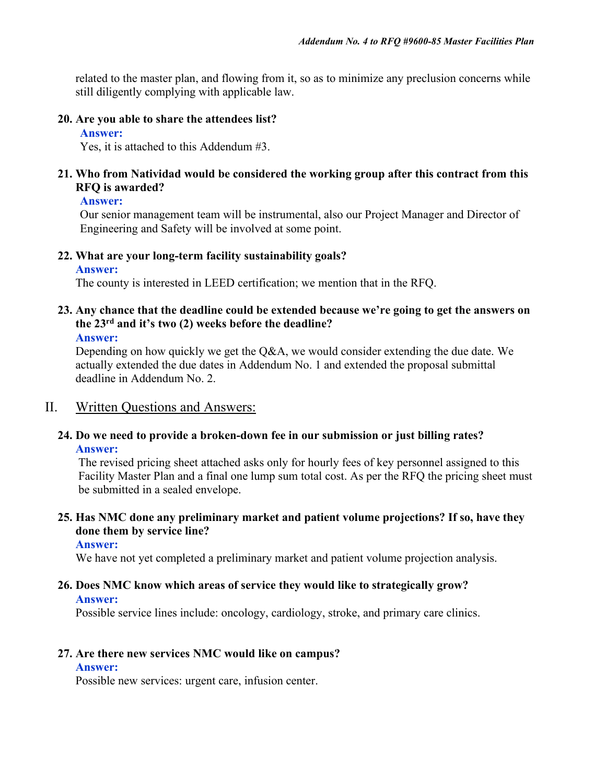related to the master plan, and flowing from it, so as to minimize any preclusion concerns while still diligently complying with applicable law.

### **20. Are you able to share the attendees list?**

**Answer:**

Yes, it is attached to this Addendum #3.

### **21. Who from Natividad would be considered the working group after this contract from this RFQ is awarded?**

#### **Answer:**

Our senior management team will be instrumental, also our Project Manager and Director of Engineering and Safety will be involved at some point.

# **22. What are your long-term facility sustainability goals?**

**Answer:**

The county is interested in LEED certification; we mention that in the RFQ.

# **23. Any chance that the deadline could be extended because we're going to get the answers on the 23rd and it's two (2) weeks before the deadline?**

**Answer:**

Depending on how quickly we get the Q&A, we would consider extending the due date. We actually extended the due dates in Addendum No. 1 and extended the proposal submittal deadline in Addendum No. 2.

# II. Written Questions and Answers:

# **24. Do we need to provide a broken-down fee in our submission or just billing rates? Answer:**

The revised pricing sheet attached asks only for hourly fees of key personnel assigned to this Facility Master Plan and a final one lump sum total cost. As per the RFQ the pricing sheet must be submitted in a sealed envelope.

# **25. Has NMC done any preliminary market and patient volume projections? If so, have they done them by service line?**

#### **Answer:**

We have not yet completed a preliminary market and patient volume projection analysis.

#### **26. Does NMC know which areas of service they would like to strategically grow? Answer:**

Possible service lines include: oncology, cardiology, stroke, and primary care clinics.

# **27. Are there new services NMC would like on campus?**

#### **Answer:**

Possible new services: urgent care, infusion center.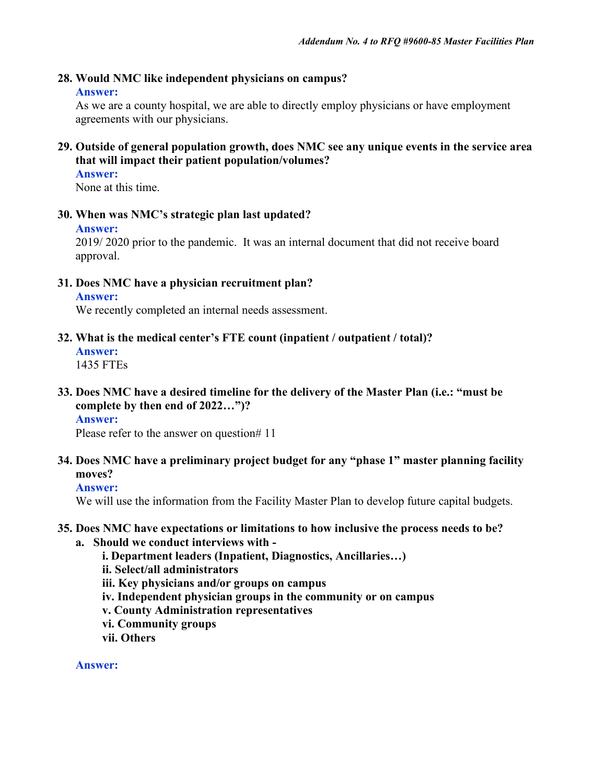# **28. Would NMC like independent physicians on campus?**

#### **Answer:**

As we are a county hospital, we are able to directly employ physicians or have employment agreements with our physicians.

# **29. Outside of general population growth, does NMC see any unique events in the service area that will impact their patient population/volumes?**

#### **Answer:**

None at this time.

#### **30. When was NMC's strategic plan last updated?**

#### **Answer:**

2019/ 2020 prior to the pandemic. It was an internal document that did not receive board approval.

**31. Does NMC have a physician recruitment plan?** 

#### **Answer:**

We recently completed an internal needs assessment.

**32. What is the medical center's FTE count (inpatient / outpatient / total)?**

```
Answer:
```
1435 FTEs

**33. Does NMC have a desired timeline for the delivery of the Master Plan (i.e.: "must be complete by then end of 2022…")?**

# **Answer:**

Please refer to the answer on question# 11

**34. Does NMC have a preliminary project budget for any "phase 1" master planning facility moves?**

# **Answer:**

We will use the information from the Facility Master Plan to develop future capital budgets.

#### **35. Does NMC have expectations or limitations to how inclusive the process needs to be?**

#### **a. Should we conduct interviews with -**

**i. Department leaders (Inpatient, Diagnostics, Ancillaries…) ii. Select/all administrators iii. Key physicians and/or groups on campus iv. Independent physician groups in the community or on campus v. County Administration representatives vi. Community groups vii. Others**

**Answer:**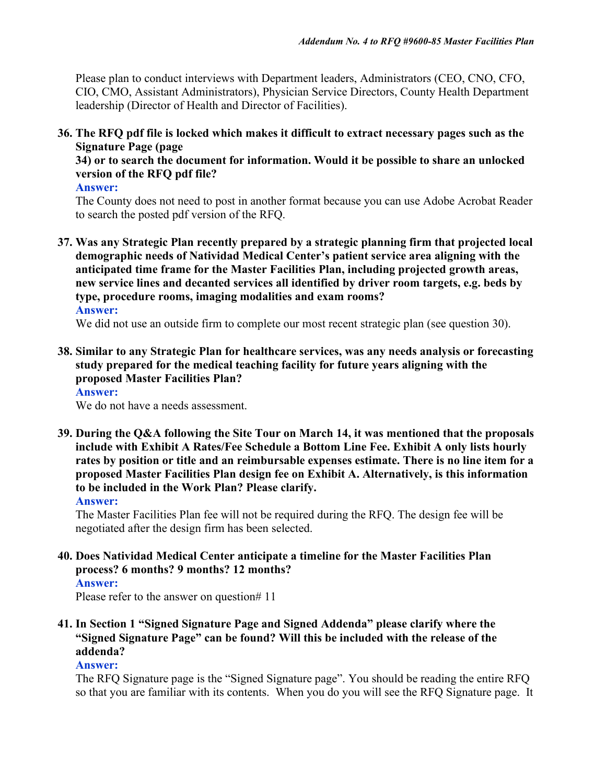Please plan to conduct interviews with Department leaders, Administrators (CEO, CNO, CFO, CIO, CMO, Assistant Administrators), Physician Service Directors, County Health Department leadership (Director of Health and Director of Facilities).

**36. The RFQ pdf file is locked which makes it difficult to extract necessary pages such as the Signature Page (page** 

**34) or to search the document for information. Would it be possible to share an unlocked version of the RFQ pdf file?**

**Answer:**

The County does not need to post in another format because you can use Adobe Acrobat Reader to search the posted pdf version of the RFQ.

**37. Was any Strategic Plan recently prepared by a strategic planning firm that projected local demographic needs of Natividad Medical Center's patient service area aligning with the anticipated time frame for the Master Facilities Plan, including projected growth areas, new service lines and decanted services all identified by driver room targets, e.g. beds by type, procedure rooms, imaging modalities and exam rooms? Answer:**

We did not use an outside firm to complete our most recent strategic plan (see question 30).

**38. Similar to any Strategic Plan for healthcare services, was any needs analysis or forecasting study prepared for the medical teaching facility for future years aligning with the proposed Master Facilities Plan?**

# **Answer:**

We do not have a needs assessment.

**39. During the Q&A following the Site Tour on March 14, it was mentioned that the proposals include with Exhibit A Rates/Fee Schedule a Bottom Line Fee. Exhibit A only lists hourly rates by position or title and an reimbursable expenses estimate. There is no line item for a proposed Master Facilities Plan design fee on Exhibit A. Alternatively, is this information to be included in the Work Plan? Please clarify.**

**Answer:**

The Master Facilities Plan fee will not be required during the RFQ. The design fee will be negotiated after the design firm has been selected.

**40. Does Natividad Medical Center anticipate a timeline for the Master Facilities Plan process? 6 months? 9 months? 12 months?**

#### **Answer:**

Please refer to the answer on question# 11

**41. In Section 1 "Signed Signature Page and Signed Addenda" please clarify where the "Signed Signature Page" can be found? Will this be included with the release of the addenda?**

#### **Answer:**

The RFQ Signature page is the "Signed Signature page". You should be reading the entire RFQ so that you are familiar with its contents. When you do you will see the RFQ Signature page. It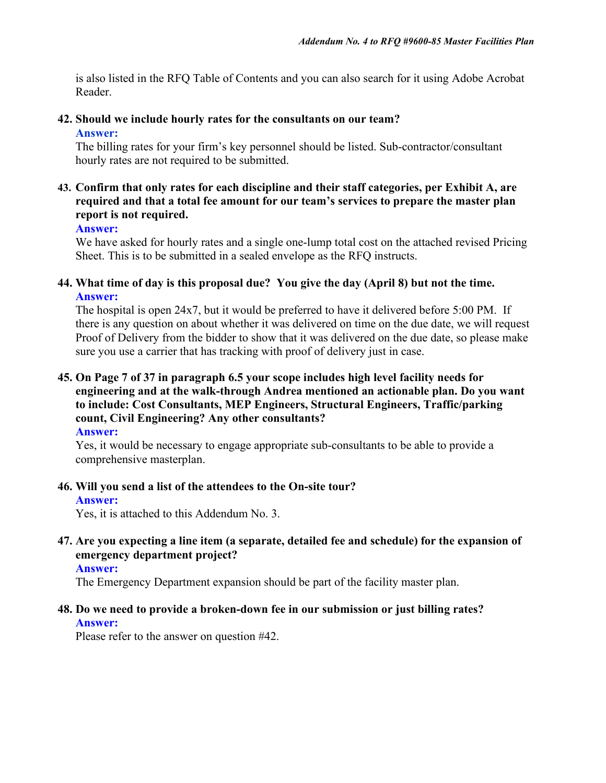is also listed in the RFQ Table of Contents and you can also search for it using Adobe Acrobat Reader.

#### **42. Should we include hourly rates for the consultants on our team? Answer:**

The billing rates for your firm's key personnel should be listed. Sub-contractor/consultant hourly rates are not required to be submitted.

# **43. Confirm that only rates for each discipline and their staff categories, per Exhibit A, are required and that a total fee amount for our team's services to prepare the master plan report is not required.**

#### **Answer:**

We have asked for hourly rates and a single one-lump total cost on the attached revised Pricing Sheet. This is to be submitted in a sealed envelope as the RFQ instructs.

#### **44. What time of day is this proposal due? You give the day (April 8) but not the time. Answer:**

The hospital is open 24x7, but it would be preferred to have it delivered before 5:00 PM. If there is any question on about whether it was delivered on time on the due date, we will request Proof of Delivery from the bidder to show that it was delivered on the due date, so please make sure you use a carrier that has tracking with proof of delivery just in case.

# **45. On Page 7 of 37 in paragraph 6.5 your scope includes high level facility needs for engineering and at the walk-through Andrea mentioned an actionable plan. Do you want to include: Cost Consultants, MEP Engineers, Structural Engineers, Traffic/parking count, Civil Engineering? Any other consultants?**

**Answer:**

Yes, it would be necessary to engage appropriate sub-consultants to be able to provide a comprehensive masterplan.

#### **46. Will you send a list of the attendees to the On-site tour?**

#### **Answer:**

Yes, it is attached to this Addendum No. 3.

# **47. Are you expecting a line item (a separate, detailed fee and schedule) for the expansion of emergency department project?**

#### **Answer:**

The Emergency Department expansion should be part of the facility master plan.

#### **48. Do we need to provide a broken-down fee in our submission or just billing rates? Answer:**

Please refer to the answer on question #42.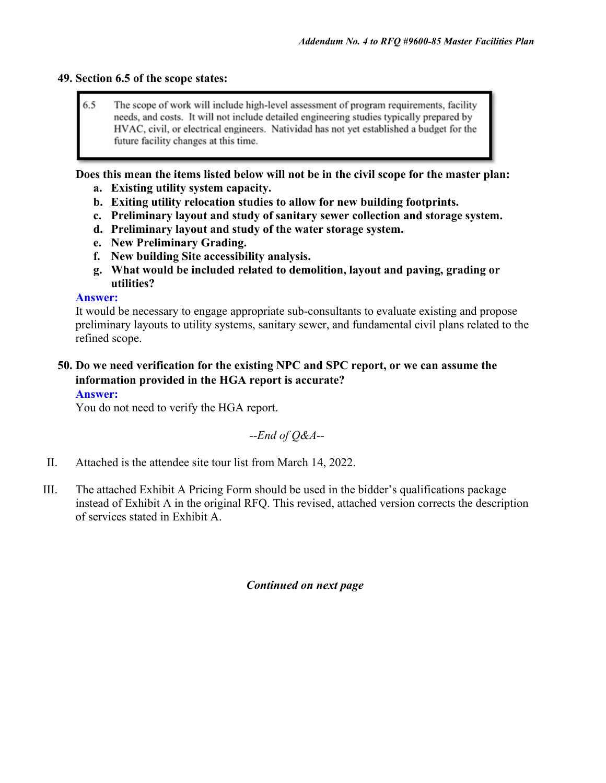### **49. Section 6.5 of the scope states:**

6.5 The scope of work will include high-level assessment of program requirements, facility needs, and costs. It will not include detailed engineering studies typically prepared by HVAC, civil, or electrical engineers. Natividad has not yet established a budget for the future facility changes at this time.

**Does this mean the items listed below will not be in the civil scope for the master plan:**

- **a. Existing utility system capacity.**
- **b. Exiting utility relocation studies to allow for new building footprints.**
- **c. Preliminary layout and study of sanitary sewer collection and storage system.**
- **d. Preliminary layout and study of the water storage system.**
- **e. New Preliminary Grading.**
- **f. New building Site accessibility analysis.**
- **g. What would be included related to demolition, layout and paving, grading or utilities?**

# **Answer:**

It would be necessary to engage appropriate sub-consultants to evaluate existing and propose preliminary layouts to utility systems, sanitary sewer, and fundamental civil plans related to the refined scope.

# **50. Do we need verification for the existing NPC and SPC report, or we can assume the information provided in the HGA report is accurate?**

#### **Answer:**

You do not need to verify the HGA report.

*--End of Q&A--*

- II. Attached is the attendee site tour list from March 14, 2022.
- III. The attached Exhibit A Pricing Form should be used in the bidder's qualifications package instead of Exhibit A in the original RFQ. This revised, attached version corrects the description of services stated in Exhibit A.

# *Continued on next page*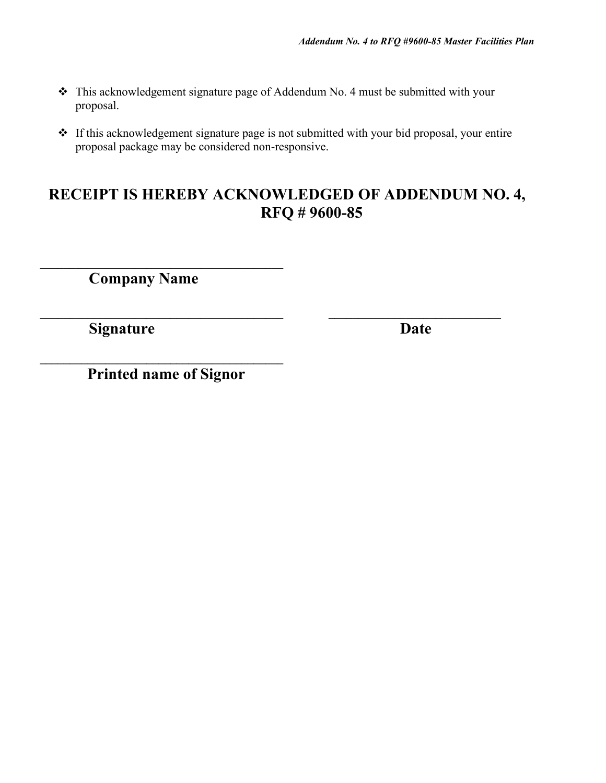- \* This acknowledgement signature page of Addendum No. 4 must be submitted with your proposal.
- If this acknowledgement signature page is not submitted with your bid proposal, your entire proposal package may be considered non-responsive.

# **RECEIPT IS HEREBY ACKNOWLEDGED OF ADDENDUM NO. 4, RFQ # 9600-85**

**\_\_\_\_\_\_\_\_\_\_\_\_\_\_\_\_\_\_\_\_\_\_\_\_\_\_\_\_\_\_\_\_\_\_\_\_\_\_\_\_\_ \_\_\_\_\_\_\_\_\_\_\_\_\_\_\_\_\_\_\_\_\_\_\_\_\_\_\_\_\_**

**Company Name**

**\_\_\_\_\_\_\_\_\_\_\_\_\_\_\_\_\_\_\_\_\_\_\_\_\_\_\_\_\_\_\_\_\_\_\_\_\_\_\_\_\_**

**Signature Date** 

**\_\_\_\_\_\_\_\_\_\_\_\_\_\_\_\_\_\_\_\_\_\_\_\_\_\_\_\_\_\_\_\_\_\_\_\_\_\_\_\_\_ Printed name of Signor**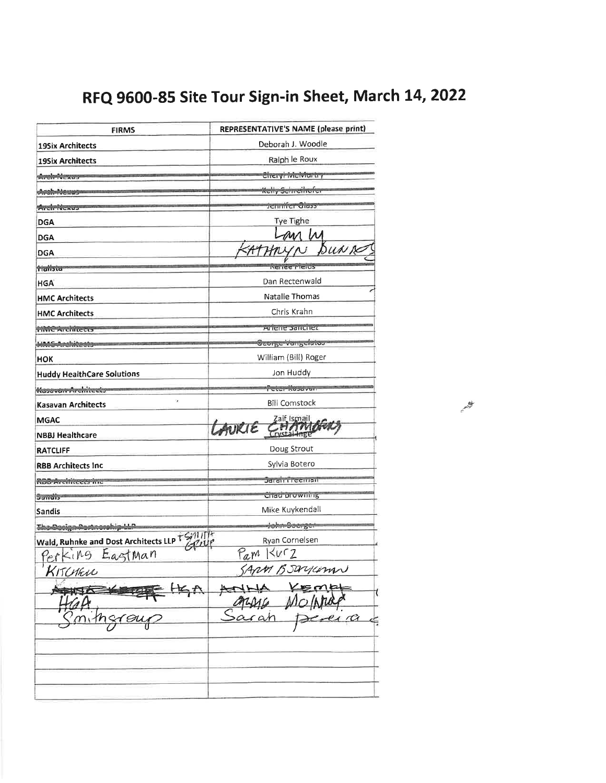# RFQ 9600-85 Site Tour Sign-in Sheet, March 14, 2022

| <b>FIRMS</b>                                  | REPRESENTATIVE'S NAME (please print) |  |  |
|-----------------------------------------------|--------------------------------------|--|--|
| <b>19Six Architects</b>                       | Deborah J. Woodle                    |  |  |
| <b>19Six Architects</b>                       | Ralph le Roux                        |  |  |
| Arch-Nexas                                    | <i><b>CheryHvictviartry</b></i>      |  |  |
| Arah-Newas                                    | <del>Kelly Schreinofe</del>          |  |  |
| <b>Arcivitector</b>                           | Jemmer Grass                         |  |  |
| <b>DGA</b>                                    | Tye Tighe                            |  |  |
| <b>DGA</b>                                    |                                      |  |  |
| <b>DGA</b>                                    | Bun re                               |  |  |
| tialista                                      | <b>Netree Frenus</b>                 |  |  |
| <b>HGA</b>                                    | Dan Rectenwald                       |  |  |
| <b>HMC Architects</b>                         | Natalie Thomas                       |  |  |
| <b>HMC Architects</b>                         | Chris Krahn                          |  |  |
| <b>TIME Architects</b>                        | Arrene Sanchez                       |  |  |
| <b>HMG-Arelvicests</b>                        | George Vangelatos                    |  |  |
| <b>HOK</b>                                    | William (Bill) Roger                 |  |  |
| <b>Huddy HealthCare Solutions</b>             | Jon Huddy                            |  |  |
| Kasavannikrehiteets                           | Peter Kasavun                        |  |  |
| Ÿ.<br><b>Kasavan Architects</b>               | <b>Bill Comstock</b>                 |  |  |
| <b>MGAC</b>                                   |                                      |  |  |
| <b>NBBJ Healthcare</b>                        | LAURIE CHAM                          |  |  |
| <b>RATCLIFF</b>                               | Doug Strout                          |  |  |
| <b>RBB Architects Inc.</b>                    | Sylvia Botero                        |  |  |
| <del>ROB Architects inc</del>                 | Jarair Feeman                        |  |  |
| Sandis-                                       | Chad prowning                        |  |  |
| Sandis                                        | Mike Kuykendall                      |  |  |
| The Decign Remnorship LL                      | dohm Boerger                         |  |  |
| Wald, Ruhnke and Dost Architects LLP TS/11/17 | Ryan Cornelsen                       |  |  |
| Perking Eagtman                               | $P_{am}$ Kurz                        |  |  |
| KITCHEN                                       | ARM BSWYCOM                          |  |  |
|                                               | onne Vemet<br>$\overline{\alpha}$    |  |  |
|                                               |                                      |  |  |

**ANY**